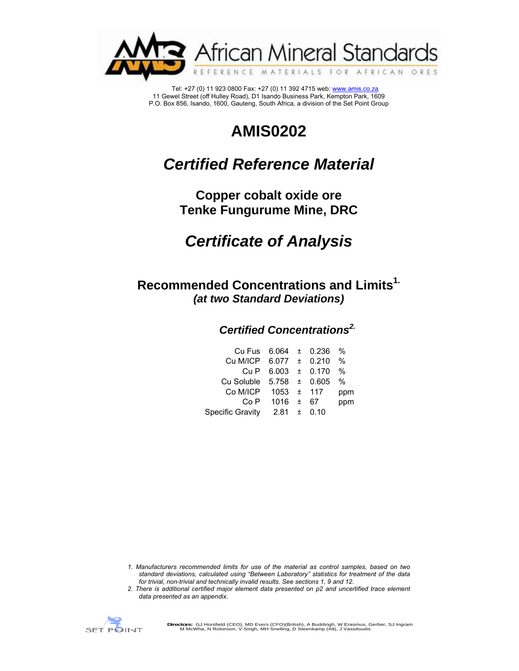

 Tel: +27 (0) 11 923 0800 Fax: +27 (0) 11 392 4715 web: www.amis.co.za 11 Gewel Street (off Hulley Road), D1 Isando Business Park, Kempton Park, 1609 P.O. Box 856, Isando, 1600, Gauteng, South Africa, a division of the Set Point Group

# **AMIS0202**

# *Certified Reference Material*

**Copper cobalt oxide ore Tenke Fungurume Mine, DRC** 

# *Certificate of Analysis*

**Recommended Concentrations and Limits1.** *(at two Standard Deviations)* 

## *Certified Concentrations2.*

| Cu Fus 6.064 ± 0.236 %       |                        |  |      |
|------------------------------|------------------------|--|------|
| Cu M/ICP $6.077 \pm 0.210$   |                        |  | $\%$ |
|                              | Cu P $6.003 \pm 0.170$ |  | %    |
| Cu Soluble $5.758 \pm 0.605$ |                        |  | %    |
| Co M/ICP                     | $1053 \pm 117$         |  | ppm  |
|                              | $Co P$ 1016 $\pm$ 67   |  | ppm  |
| Specific Gravity             | $2.81 \pm 0.10$        |  |      |
|                              |                        |  |      |

- *1. Manufacturers recommended limits for use of the material as control samples, based on two standard deviations, calculated using "Between Laboratory" statistics for treatment of the data for trivial, non-trivial and technically invalid results. See sections 1, 9 and 12.*
- *2. There is additional certified major element data presented on p2 and uncertified trace element data presented as an appendix.*

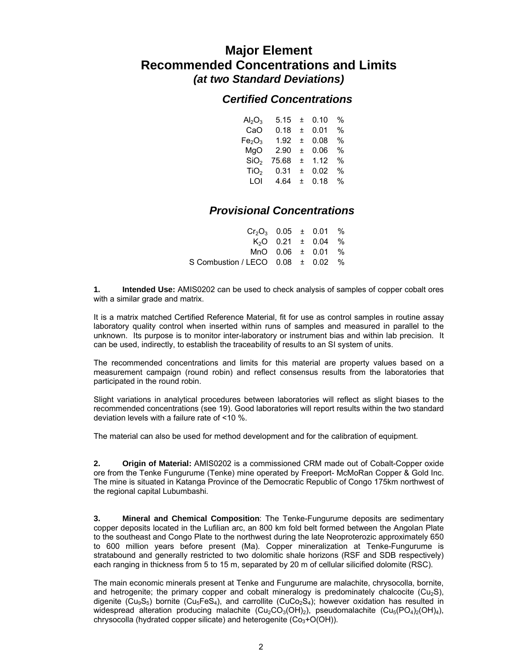# **Major Element Recommended Concentrations and Limits**  *(at two Standard Deviations)*

### *Certified Concentrations*

| $Al_2O_3$                      | 5.15  | 土 | 0.10 | % |
|--------------------------------|-------|---|------|---|
| CaO                            | 0.18  | Ŧ | 0.01 | % |
| Fe <sub>2</sub> O <sub>3</sub> | 1.92  | Ŧ | 0.08 | % |
| MgO                            | 2.90  | Ŧ | 0.06 | % |
| SiO <sub>2</sub>               | 75.68 | 土 | 1.12 | % |
| TiO <sub>2</sub>               | 0.31  | + | 0.02 | % |
| LOI                            | 4.64  | + | 0.18 | % |

## *Provisional Concentrations*

| $Cr_2O_3$ 0.05 $\pm$ 0.01 %           |  |                                    |  |
|---------------------------------------|--|------------------------------------|--|
|                                       |  | K <sub>2</sub> O 0.21 $\pm$ 0.04 % |  |
|                                       |  | MnO $0.06 \pm 0.01$ %              |  |
| S Combustion / LECO $0.08 \pm 0.02$ % |  |                                    |  |

**1. Intended Use:** AMIS0202 can be used to check analysis of samples of copper cobalt ores with a similar grade and matrix.

It is a matrix matched Certified Reference Material, fit for use as control samples in routine assay laboratory quality control when inserted within runs of samples and measured in parallel to the unknown. Its purpose is to monitor inter-laboratory or instrument bias and within lab precision. It can be used, indirectly, to establish the traceability of results to an SI system of units.

The recommended concentrations and limits for this material are property values based on a measurement campaign (round robin) and reflect consensus results from the laboratories that participated in the round robin.

Slight variations in analytical procedures between laboratories will reflect as slight biases to the recommended concentrations (see 19). Good laboratories will report results within the two standard deviation levels with a failure rate of <10 %.

The material can also be used for method development and for the calibration of equipment.

**2. Origin of Material:** AMIS0202 is a commissioned CRM made out of Cobalt-Copper oxide ore from the Tenke Fungurume (Tenke) mine operated by Freeport- McMoRan Copper & Gold Inc. The mine is situated in Katanga Province of the Democratic Republic of Congo 175km northwest of the regional capital Lubumbashi.

**3. Mineral and Chemical Composition**: The Tenke-Fungurume deposits are sedimentary copper deposits located in the Lufilian arc, an 800 km fold belt formed between the Angolan Plate to the southeast and Congo Plate to the northwest during the late Neoproterozic approximately 650 to 600 million years before present (Ma). Copper mineralization at Tenke-Fungurume is stratabound and generally restricted to two dolomitic shale horizons (RSF and SDB respectively) each ranging in thickness from 5 to 15 m, separated by 20 m of cellular silicified dolomite (RSC).

The main economic minerals present at Tenke and Fungurume are malachite, chrysocolla, bornite, and hetrogenite; the primary copper and cobalt mineralogy is predominately chalcocite ( $Cu<sub>2</sub>S$ ), digenite (Cu<sub>9</sub>S<sub>5</sub>) bornite (Cu<sub>5</sub>FeS<sub>4</sub>), and carrollite (CuCo<sub>2</sub>S<sub>4</sub>); however oxidation has resulted in widespread alteration producing malachite  $(Cu_2CO_3(OH)_2)$ , pseudomalachite  $(Cu_5(PO_4)_2(OH)_4)$ , chrysocolla (hydrated copper silicate) and heterogenite  $(Co<sub>3</sub>+O(OH))$ .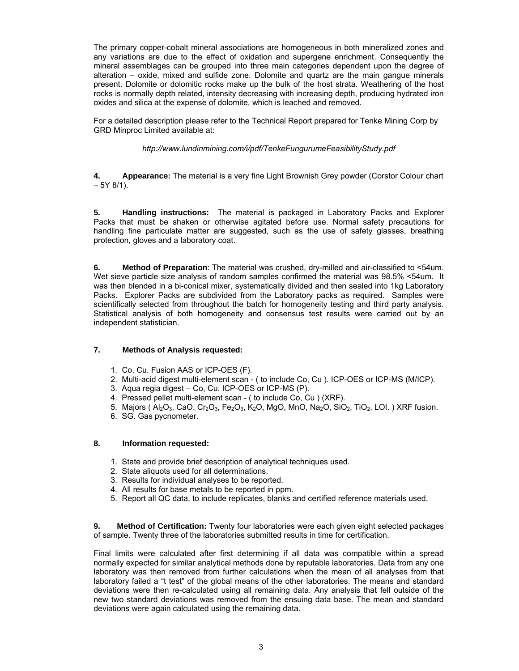The primary copper-cobalt mineral associations are homogeneous in both mineralized zones and any variations are due to the effect of oxidation and supergene enrichment. Consequently the mineral assemblages can be grouped into three main categories dependent upon the degree of alteration – oxide, mixed and sulfide zone. Dolomite and quartz are the main gangue minerals present. Dolomite or dolomitic rocks make up the bulk of the host strata. Weathering of the host rocks is normally depth related, intensity decreasing with increasing depth, producing hydrated iron oxides and silica at the expense of dolomite, which is leached and removed.

For a detailed description please refer to the Technical Report prepared for Tenke Mining Corp by GRD Minproc Limited available at:

*http://www.lundinmining.com/i/pdf/TenkeFungurumeFeasibilityStudy.pdf* 

**4. Appearance:** The material is a very fine Light Brownish Grey powder (Corstor Colour chart  $-5Y 8/1$ ).

**5. Handling instructions:** The material is packaged in Laboratory Packs and Explorer Packs that must be shaken or otherwise agitated before use. Normal safety precautions for handling fine particulate matter are suggested, such as the use of safety glasses, breathing protection, gloves and a laboratory coat.

**6. Method of Preparation**: The material was crushed, dry-milled and air-classified to <54um. Wet sieve parti**c**le size analysis of random samples confirmed the material was 98.5% <54um. It was then blended in a bi-conical mixer, systematically divided and then sealed into 1kg Laboratory Packs. Explorer Packs are subdivided from the Laboratory packs as required. Samples were scientifically selected from throughout the batch for homogeneity testing and third party analysis. Statistical analysis of both homogeneity and consensus test results were carried out by an independent statistician.

#### **7. Methods of Analysis requested:**

- 1. Co, Cu. Fusion AAS or ICP-OES (F).
- 2. Multi-acid digest multi-element scan ( to include Co, Cu ). ICP-OES or ICP-MS (M/ICP).
- 3. Aqua regia digest Co, Cu. ICP-OES or ICP-MS (P).
- 4. Pressed pellet multi-element scan ( to include Co, Cu ) (XRF).
- 5. Majors (  $Al_2O_3$ , CaO, Cr<sub>2</sub>O<sub>3</sub>, Fe<sub>2</sub>O<sub>3</sub>, K<sub>2</sub>O, MgO, MnO, Na<sub>2</sub>O, SiO<sub>2</sub>, TiO<sub>2</sub>. LOI.) XRF fusion.
- 6. SG. Gas pycnometer.

#### **8. Information requested:**

- 1. State and provide brief description of analytical techniques used.
- 2. State aliquots used for all determinations.
- 3. Results for individual analyses to be reported.
- 4. All results for base metals to be reported in ppm.
- 5. Report all QC data, to include replicates, blanks and certified reference materials used.

**9. Method of Certification:** Twenty four laboratories were each given eight selected packages of sample. Twenty three of the laboratories submitted results in time for certification.

Final limits were calculated after first determining if all data was compatible within a spread normally expected for similar analytical methods done by reputable laboratories. Data from any one laboratory was then removed from further calculations when the mean of all analyses from that laboratory failed a "t test" of the global means of the other laboratories. The means and standard deviations were then re-calculated using all remaining data. Any analysis that fell outside of the new two standard deviations was removed from the ensuing data base. The mean and standard deviations were again calculated using the remaining data.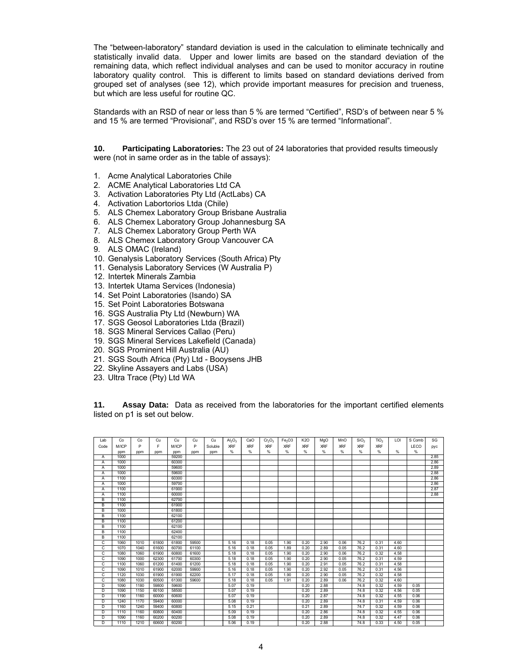The "between-laboratory" standard deviation is used in the calculation to eliminate technically and statistically invalid data. Upper and lower limits are based on the standard deviation of the remaining data, which reflect individual analyses and can be used to monitor accuracy in routine laboratory quality control. This is different to limits based on standard deviations derived from grouped set of analyses (see 12), which provide important measures for precision and trueness, but which are less useful for routine QC.

Standards with an RSD of near or less than 5 % are termed "Certified", RSD's of between near 5 % and 15 % are termed "Provisional", and RSD's over 15 % are termed "Informational".

**10. Participating Laboratories:** The 23 out of 24 laboratories that provided results timeously were (not in same order as in the table of assays):

- 1. Acme Analytical Laboratories Chile
- 2. ACME Analytical Laboratories Ltd CA
- 3. Activation Laboratories Pty Ltd (ActLabs) CA
- 4. Activation Labortorios Ltda (Chile)
- 5. ALS Chemex Laboratory Group Brisbane Australia
- 6. ALS Chemex Laboratory Group Johannesburg SA
- 7. ALS Chemex Laboratory Group Perth WA
- 8. ALS Chemex Laboratory Group Vancouver CA
- 9. ALS OMAC (Ireland)
- 10. Genalysis Laboratory Services (South Africa) Pty
- 11. Genalysis Laboratory Services (W Australia P)
- 12. Intertek Minerals Zambia
- 13. Intertek Utama Services (Indonesia)
- 14. Set Point Laboratories (Isando) SA
- 15. Set Point Laboratories Botswana
- 16. SGS Australia Pty Ltd (Newburn) WA
- 17. SGS Geosol Laboratories Ltda (Brazil)
- 18. SGS Mineral Services Callao (Peru)
- 19. SGS Mineral Services Lakefield (Canada)
- 20. SGS Prominent Hill Australia (AU)
- 21. SGS South Africa (Pty) Ltd Booysens JHB
- 22. Skyline Assayers and Labs (USA)
- 23. Ultra Trace (Pty) Ltd WA

**11. Assay Data:** Data as received from the laboratories for the important certified elements listed on p1 is set out below.

| Lab            | Co           | Co   | Cu    | Cu           | Cu    | Cu      | Al <sub>2</sub> O <sub>3</sub> | CaO        | $Cr_2O_3$  | Fe <sub>2</sub> O3 | <b>K2O</b> | MgO        | MnO        | SiO <sub>2</sub> | TiO <sub>2</sub> | LOI  | S Comb | SG   |
|----------------|--------------|------|-------|--------------|-------|---------|--------------------------------|------------|------------|--------------------|------------|------------|------------|------------------|------------------|------|--------|------|
| Code           | M/ICP        | P    | F     | M/ICP        | P     | Soluble | <b>XRF</b>                     | <b>XRF</b> | <b>XRF</b> | <b>XRF</b>         | <b>XRF</b> | <b>XRF</b> | <b>XRF</b> | <b>XRF</b>       | <b>XRF</b>       |      | LECO   |      |
|                |              |      |       |              |       |         | %                              | %          | %          | %                  | %          | %          | %          | %                | %                | %    | %      | pyc  |
|                | ppm<br>1000  | ppm  | ppm   | ppm<br>59200 | ppm   | ppm     |                                |            |            |                    |            |            |            |                  |                  |      |        | 2.85 |
| $\overline{A}$ | 1000         |      |       | 60300        |       |         |                                |            |            |                    |            |            |            |                  |                  |      |        | 2.86 |
| A              |              |      |       |              |       |         |                                |            |            |                    |            |            |            |                  |                  |      |        |      |
| A              | 1000         |      |       | 59600        |       |         |                                |            |            |                    |            |            |            |                  |                  |      |        | 2.89 |
| A              | 1000         |      |       | 59600        |       |         |                                |            |            |                    |            |            |            |                  |                  |      |        | 2.88 |
| Α              | 1100<br>1000 |      |       | 60300        |       |         |                                |            |            |                    |            |            |            |                  |                  |      |        | 2.86 |
| A              |              |      |       | 59700        |       |         |                                |            |            |                    |            |            |            |                  |                  |      |        | 2.86 |
| A              | 1100         |      |       | 61900        |       |         |                                |            |            |                    |            |            |            |                  |                  |      |        | 2.87 |
| A              | 1100         |      |       | 60000        |       |         |                                |            |            |                    |            |            |            |                  |                  |      |        | 2.88 |
| B              | 1100         |      |       | 62700        |       |         |                                |            |            |                    |            |            |            |                  |                  |      |        |      |
| B              | 1100         |      |       | 61900        |       |         |                                |            |            |                    |            |            |            |                  |                  |      |        |      |
| B              | 1000         |      |       | 61800        |       |         |                                |            |            |                    |            |            |            |                  |                  |      |        |      |
| B              | 1100         |      |       | 62100        |       |         |                                |            |            |                    |            |            |            |                  |                  |      |        |      |
| B              | 1100         |      |       | 61200        |       |         |                                |            |            |                    |            |            |            |                  |                  |      |        |      |
| B              | 1100         |      |       | 62100        |       |         |                                |            |            |                    |            |            |            |                  |                  |      |        |      |
| B              | 1100         |      |       | 62400        |       |         |                                |            |            |                    |            |            |            |                  |                  |      |        |      |
| B              | 1100         |      |       | 62100        |       |         |                                |            |            |                    |            |            |            |                  |                  |      |        |      |
| C              | 1060         | 1010 | 61800 | 61800        | 59500 |         | 5.16                           | 0.18       | 0.05       | 1.90               | 0.20       | 2.90       | 0.06       | 76.2             | 0.31             | 4.60 |        |      |
| C              | 1070         | 1040 | 61600 | 60700        | 61100 |         | 5.16                           | 0.18       | 0.05       | 1.89               | 0.20       | 2.89       | 0.05       | 76.2             | 0.31             | 4.60 |        |      |
| C              | 1080         | 1060 | 61900 | 60800        | 61600 |         | 5.18                           | 0.18       | 0.05       | 1.90               | 0.20       | 2.90       | 0.06       | 76.2             | 0.32             | 4.58 |        |      |
| C              | 1090         | 1000 | 62300 | 61700        | 60300 |         | 5.18                           | 0.18       | 0.05       | 1.90               | 0.20       | 2.90       | 0.05       | 76.2             | 0.31             | 4.59 |        |      |
| C              | 1100         | 1060 | 61200 | 61400        | 61200 |         | 5.18                           | 0.18       | 0.05       | 1.90               | 0.20       | 2.91       | 0.05       | 76.2             | 0.31             | 4.58 |        |      |
| C              | 1090         | 1010 | 61900 | 62000        | 59900 |         | 5.16                           | 0.18       | 0.05       | 1.90               | 0.20       | 2.92       | 0.05       | 76.2             | 0.31             | 4.56 |        |      |
| C              | 1120         | 1030 | 61900 | 61900        | 62200 |         | 5.17                           | 0.18       | 0.05       | 1.90               | 0.20       | 2.90       | 0.05       | 76.2             | 0.32             | 4.58 |        |      |
| C              | 1080         | 1030 | 60500 | 61300        | 59600 |         | 5.18                           | 0.18       | 0.05       | 1.91               | 0.20       | 2.89       | 0.06       | 76.2             | 0.32             | 4.60 |        |      |
| D              | 1090         | 1180 | 59800 | 59600        |       |         | 5.07                           | 0.19       |            |                    | 0.20       | 2.88       |            | 74.8             | 0.32             | 4.59 | 0.05   |      |
| D              | 1090         | 1150 | 60100 | 58500        |       |         | 5.07                           | 0.19       |            |                    | 0.20       | 2.89       |            | 74.8             | 0.32             | 4.56 | 0.05   |      |
| D              | 1190         | 1160 | 60000 | 60600        |       |         | 5.07                           | 0.19       |            |                    | 0.20       | 2.87       |            | 74.8             | 0.32             | 4.55 | 0.06   |      |
| D              | 1240         | 1170 | 59400 | 60000        |       |         | 5.08                           | 0.19       |            |                    | 0.20       | 2.89       |            | 74.8             | 0.31             | 4.59 | 0.06   |      |
| D              | 1160         | 1240 | 59400 | 60800        |       |         | 5.15                           | 0.21       |            |                    | 0.21       | 2.89       |            | 74.7             | 0.32             | 4.59 | 0.06   |      |
| D              | 1110         | 1160 | 60800 | 60400        |       |         | 5.09                           | 0.19       |            |                    | 0.20       | 2.86       |            | 74.8             | 0.32             | 4.55 | 0.06   |      |
| D              | 1090         | 1160 | 60200 | 60200        |       |         | 5.08                           | 0.19       |            |                    | 0.20       | 2.89       |            | 74.8             | 0.32             | 4.47 | 0.06   |      |
| Đ              | 1110         | 1210 | 60600 | 60200        |       |         | 5.06                           | 0.19       |            |                    | 0.20       | 2.88       |            | 74.8             | 0.33             | 4.50 | 0.05   |      |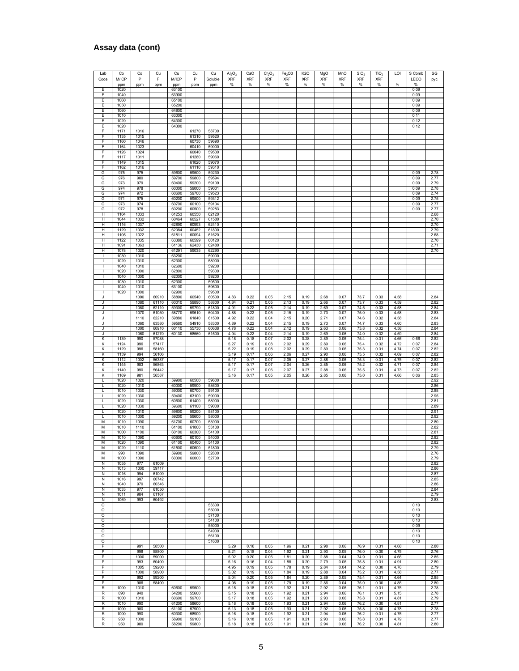### **Assay data (cont)**

| Lab               | Co           | Co           | Cu             | Cu             | Cu             | Cu             | Al <sub>2</sub> O <sub>3</sub> | CaO          | Cr <sub>2</sub> O <sub>3</sub> | Fe <sub>2</sub> O3 | K <sub>2</sub> O | MgO          | MnO          | SiO <sub>2</sub> | TiO <sub>2</sub> | LOI          | S Comb       | SG           |
|-------------------|--------------|--------------|----------------|----------------|----------------|----------------|--------------------------------|--------------|--------------------------------|--------------------|------------------|--------------|--------------|------------------|------------------|--------------|--------------|--------------|
| Code              | M/ICP        | P            | F              | M/ICP          | P              | Soluble        | <b>XRF</b>                     | <b>XRF</b>   | XRF                            | <b>XRF</b>         | <b>XRF</b>       | <b>XRF</b>   | <b>XRF</b>   | <b>XRF</b>       | <b>XRF</b>       |              | LECO         | pyc          |
| Е                 | ppm<br>1020  | ppm          | ppm            | ppm<br>63100   | ppm            | ppm            | $\%$                           | $\%$         | %                              | %                  | $\%$             | $\%$         | %            | $\%$             | $\%$             | %            | $\%$<br>0.09 |              |
| Е                 | 1040         |              |                | 63900          |                |                |                                |              |                                |                    |                  |              |              |                  |                  |              | 0.09         |              |
| Ε                 | 1060         |              |                | 65100          |                |                |                                |              |                                |                    |                  |              |              |                  |                  |              | 0.09         |              |
| Ε<br>Ε            | 1050<br>1060 |              |                | 65200<br>64800 |                |                |                                |              |                                |                    |                  |              |              |                  |                  |              | 0.09<br>0.09 |              |
| Е                 | 1010         |              |                | 63000          |                |                |                                |              |                                |                    |                  |              |              |                  |                  |              | 0.11         |              |
| Е                 | 1020         |              |                | 64300          |                |                |                                |              |                                |                    |                  |              |              |                  |                  |              | 0.12         |              |
| Е                 | 1020         |              |                | 64300          |                |                |                                |              |                                |                    |                  |              |              |                  |                  |              | 0.12         |              |
| F<br>F            | 1171<br>1135 | 1016<br>1015 |                |                | 61270<br>61310 | 58700<br>59520 |                                |              |                                |                    |                  |              |              |                  |                  |              |              |              |
| F                 | 1160         | 1046         |                |                | 60730          | 59690          |                                |              |                                |                    |                  |              |              |                  |                  |              |              |              |
| F                 | 1164         | 1023         |                |                | 60410          | 59000          |                                |              |                                |                    |                  |              |              |                  |                  |              |              |              |
| F<br>F            | 1126         | 1024         |                |                | 60040          | 59530          |                                |              |                                |                    |                  |              |              |                  |                  |              |              |              |
| F                 | 1117<br>1149 | 1011<br>1015 |                |                | 61280<br>61020 | 59060<br>59070 |                                |              |                                |                    |                  |              |              |                  |                  |              |              |              |
| F                 | 1162         | 1016         |                |                | 61110          | 59310          |                                |              |                                |                    |                  |              |              |                  |                  |              |              |              |
| G                 | 975          | 975          |                | 59600          | 59500          | 59230          |                                |              |                                |                    |                  |              |              |                  |                  |              | 0.09         | 2.78         |
| G<br>G            | 976<br>973   | 980<br>979   |                | 59700<br>60400 | 59800<br>59200 | 59594<br>59109 |                                |              |                                |                    |                  |              |              |                  |                  |              | 0.09<br>0.09 | 2.77<br>2.79 |
| G                 | 974          | 978          |                | 60000          | 59000          | 59001          |                                |              |                                |                    |                  |              |              |                  |                  |              | 0.09         | 2.78         |
| G                 | 974          | 972          |                | 60600          | 59700          | 59523          |                                |              |                                |                    |                  |              |              |                  |                  |              | 0.09         | 2.74         |
| G                 | 971          | 975          |                | 60200          | 59500          | 59312          |                                |              |                                |                    |                  |              |              |                  |                  |              | 0.09         | 2.75         |
| G<br>G            | 973<br>972   | 974<br>978   |                | 60700<br>60200 | 60100<br>60500 | 59104<br>59283 |                                |              |                                |                    |                  |              |              |                  |                  |              | 0.09<br>0.09 | 2.77<br>2.77 |
| н                 | 1104         | 1033         |                | 61253          | 60550          | 62120          |                                |              |                                |                    |                  |              |              |                  |                  |              |              | 2.68         |
| н                 | 1044         | 1032         |                | 60464          | 60527          | 61580          |                                |              |                                |                    |                  |              |              |                  |                  |              |              | 2.70         |
| н<br>н            | 1116<br>1129 | 1037<br>1032 |                | 62890<br>62084 | 60993<br>60452 | 62410<br>61800 |                                |              |                                |                    |                  |              |              |                  |                  |              |              | 2.70<br>2.79 |
| н                 | 1105         | 1022         |                | 61811          | 60094          | 61620          |                                |              |                                |                    |                  |              |              |                  |                  |              |              | 2.68         |
| Η                 | 1122         | 1035         |                | 63380          | 60599          | 60120          |                                |              |                                |                    |                  |              |              |                  |                  |              |              | 2.70         |
| н                 | 1091         | 1063         |                | 61136          | 62430          | 62480          |                                |              |                                |                    |                  |              |              |                  |                  |              |              | 2.71         |
| н<br>$\mathbf{I}$ | 1078<br>1030 | 1020<br>1010 |                | 61291<br>63200 | 59035          | 62290<br>59000 |                                |              |                                |                    |                  |              |              |                  |                  |              |              | 2.70         |
| J.                | 1020         | 1010         |                | 62300          |                | 58900          |                                |              |                                |                    |                  |              |              |                  |                  |              |              |              |
| т                 | 1040         | 1010         |                | 62600          |                | 59200          |                                |              |                                |                    |                  |              |              |                  |                  |              |              |              |
| т<br>п            | 1020<br>1040 | 1000<br>1000 |                | 62800<br>62000 |                | 59300<br>59200 |                                |              |                                |                    |                  |              |              |                  |                  |              |              |              |
|                   | 1030         | 1010         |                | 62300          |                | 59500          |                                |              |                                |                    |                  |              |              |                  |                  |              |              |              |
| I                 | 1040         | 1010         |                | 63100          |                | 59600          |                                |              |                                |                    |                  |              |              |                  |                  |              |              |              |
| I                 | 1020         | 1000         |                | 62900          |                | 59500          |                                |              |                                |                    |                  |              |              |                  |                  |              |              |              |
| J<br>J            |              | 1090<br>1080 | 60910<br>61110 | 58890<br>60010 | 60540<br>59890 | 60500<br>58800 | 4.83<br>4.84                   | 0.22<br>0.21 | 0.05<br>0.05                   | 2.15<br>2.13       | 0.19<br>0.19     | 2.68<br>2.66 | 0.07<br>0.07 | 73.7<br>73.7     | 0.33<br>0.33     | 4.58<br>4.59 |              | 2.84<br>2.82 |
| J                 |              | 1080         | 62110          | 59300          | 59790          | 61800          | 4.91                           | 0.22         | 0.05                           | 2.14               | 0.19             | 2.69         | 0.07         | 74.5             | 0.33             | 4.58         |              | 2.84         |
| J                 |              | 1070         | 61050          | 58770          | 59610          | 60400          | 4.88                           | 0.22         | 0.05                           | 2.15               | 0.19             | 2.73         | 0.07         | 75.0             | 0.33             | 4.58         |              | 2.83         |
| J<br>J            |              | 1110<br>1060 | 62210<br>63580 | 59880<br>59580 | 61840          | 61500<br>58300 | 4.92<br>4.89                   | 0.22<br>0.22 | 0.04<br>0.04                   | 2.15<br>2.15       | 0.20<br>0.19     | 2.71<br>2.73 | 0.07<br>0.07 | 74.6<br>74.7     | 0.32<br>0.33     | 4.58<br>4.60 |              | 2.84<br>2.83 |
| J                 |              | 1000         | 60910          | 60110          | 54910<br>55730 | 60638          | 4.78                           | 0.22         | 0.04                           | 2.12               | 0.19             | 2.63         | 0.06         | 73.8             | 0.32             | 4.58         |              | 2.84         |
| J                 |              | 1060         | 61270          | 60130          | 58560          | 61500          | 4.94                           | 0.22         | 0.04                           | 2.14               | 0.19             | 2.69         | 0.06         | 74.0             | 0.32             | 4.59         |              | 2.84         |
| Κ                 | 1139         | 990          | 57088          |                |                |                | 5.18                           | 0.18         | 0.07                           | 2.02               | 0.28             | 2.89         | 0.06         | 75.4             | 0.31             | 4.66         | 0.66         | 2.82         |
| κ<br>κ            | 1124<br>1129 | 996<br>996   | 57417<br>58160 |                |                |                | 5.27<br>5.22                   | 0.19<br>0.19 | 0.08<br>0.08                   | 2.02<br>2.02       | 0.29<br>0.29     | 2.89<br>2.89 | 0.06<br>0.06 | 75.4<br>75.3     | 0.32<br>0.31     | 4.72<br>4.74 | 0.07<br>0.07 | 2.84<br>2.82 |
| κ                 | 1139         | 994          | 56106          |                |                |                | 5.19                           | 0.17         | 0.06                           | 2.06               | 0.27             | 2.90         | 0.06         | 75.5             | 0.32             | 4.69         | 0.07         | 2.82         |
| Κ                 | 1112         | 1002         | 56387          |                |                |                | 5.17                           | 0.17         | 0.07                           | 2.05               | 0.27             | 2.88         | 0.06         | 75.3             | 0.31             | 4.75         | 0.07         | 2.82         |
| Κ                 | 1145         | 983          | 56863          |                |                |                | 5.17                           | 0.17         | 0.07                           | 2.04               | 0.26             | 2.85         | 0.06         | 75.2             | 0.32             | 4.71         | 0.07         | 2.84         |
| К<br>Κ            | 1140<br>1169 | 990<br>981   | 56442<br>56587 |                |                |                | 5.17<br>5.16                   | 0.17<br>0.17 | 0.06<br>0.05                   | 2.07<br>2.05       | 0.27<br>0.26     | 2.88<br>2.85 | 0.06<br>0.06 | 75.5<br>75.0     | 0.31<br>0.31     | 4.73<br>4.66 | 0.07<br>0.06 | 2.82<br>2.85 |
| L                 | 1020         | 1020         |                | 59900          | 60500          | 59600          |                                |              |                                |                    |                  |              |              |                  |                  |              |              | 2.92         |
| L                 | 1020         | 1010         |                | 60000          | 59900          | 58600          |                                |              |                                |                    |                  |              |              |                  |                  |              |              | 2.86         |
| L                 | 1010         | 1030         |                | 59000          | 60700          | 59100          |                                |              |                                |                    |                  |              |              |                  |                  |              |              | 2.88         |
| L<br>L            | 1020<br>1020 | 1030<br>1030 |                | 59400<br>60600 | 63100<br>61400 | 59000<br>58900 |                                |              |                                |                    |                  |              |              |                  |                  |              |              | 2.95<br>2.81 |
| L                 | 1020         | 1030         |                | 59600          | 61100          | 59000          |                                |              |                                |                    |                  |              |              |                  |                  |              |              | 2.89         |
| L                 | 1020         | 1010         |                | 59800          | 59200          | 58100          |                                |              |                                |                    |                  |              |              |                  |                  |              |              | 2.91         |
| L<br>M            | 1010<br>1010 | 1000<br>1090 |                | 59200<br>61700 | 59600<br>60700 | 58000<br>53900 |                                |              |                                |                    |                  |              |              |                  |                  |              |              | 2.92<br>2.80 |
| М                 | 1010         | 1110         |                | 61100          | 61000          | 53100          |                                |              |                                |                    |                  |              |              |                  |                  |              |              | 2.82         |
| М                 | 1000         | 1100         |                | 60100          | 60300          | 54100          |                                |              |                                |                    |                  |              |              |                  |                  |              |              | 2.81         |
| M                 | 1010         | 1090         |                | 60600          | 60100          | 54000          |                                |              |                                |                    |                  |              |              |                  |                  |              |              | 2.82         |
| М<br>М            | 1020<br>1020 | 1090<br>1110 |                | 61100<br>61500 | 60400<br>60600 | 54100<br>51800 |                                |              |                                |                    |                  |              |              |                  |                  |              |              | 2.82<br>2.79 |
| М                 | 990          | 1090         |                | 59900          | 59800          | 52800          |                                |              |                                |                    |                  |              |              |                  |                  |              |              | 2.76         |
| М                 | 1000         | 1090         |                | 60300          | 60000          | 52700          |                                |              |                                |                    |                  |              |              |                  |                  |              |              | 2.79         |
| N<br>N            | 1055<br>1013 | 977<br>1000  | 61009<br>59717 |                |                |                |                                |              |                                |                    |                  |              |              |                  |                  |              |              | 2.82<br>2.86 |
| N                 | 1016         | 994          | 61009          |                |                |                |                                |              |                                |                    |                  |              |              |                  |                  |              |              | 2.87         |
| N                 | 1016         | 997          | 60742          |                |                |                |                                |              |                                |                    |                  |              |              |                  |                  |              |              | 2.85         |
| N<br>N            | 1040<br>1033 | 970<br>977   | 60346<br>61050 |                |                |                |                                |              |                                |                    |                  |              |              |                  |                  |              |              | 2.86<br>2.84 |
| N                 | 1011         | 984          | 61167          |                |                |                |                                |              |                                |                    |                  |              |              |                  |                  |              |              | 2.79         |
| N                 | 1069         | 993          | 60492          |                |                |                |                                |              |                                |                    |                  |              |              |                  |                  |              |              | 2.83         |
| 0                 |              |              |                |                |                | 53300          |                                |              |                                |                    |                  |              |              |                  |                  |              | 0.10         |              |
| O<br>O            |              |              |                |                |                | 55000<br>57100 |                                |              |                                |                    |                  |              |              |                  |                  |              | 0.10<br>0.10 |              |
| O                 |              |              |                |                |                | 54100          |                                |              |                                |                    |                  |              |              |                  |                  |              | 0.10         |              |
| O                 |              |              |                |                |                | 55000          |                                |              |                                |                    |                  |              |              |                  |                  |              | 0.09         |              |
| O<br>Ō            |              |              |                |                |                | 54900<br>56100 |                                |              |                                |                    |                  |              |              |                  |                  |              | 0.10<br>0.10 |              |
| O                 |              |              |                |                |                | 51600          |                                |              |                                |                    |                  |              |              |                  |                  |              | 0.10         |              |
| P                 |              | 991          | 58500          |                |                |                | 5.29                           | 0.18         | 0.05                           | 1.96               | 0.21             | 2.98         | 0.06         | 76.9             | 0.31             | 4.68         |              | 2.80         |
| P                 |              | 998          | 58800          |                |                |                | 5.21                           | 0.18         | 0.04                           | 1.92               | 0.21             | 2.93         | 0.05         | 76.0             | 0.30             | 4.75         |              | 2.76         |
| P<br>P            |              | 1000<br>993  | 59000<br>60400 |                |                |                | 5.02<br>5.16                   | 0.20<br>0.16 | 0.06<br>0.04                   | 1.81<br>1.88       | 0.20<br>0.20     | 2.88<br>2.79 | 0.04<br>0.06 | 74.9<br>75.8     | 0.31<br>0.31     | 4.66<br>4.91 |              | 2.85<br>2.80 |
| P                 |              | 1005         | 59200          |                |                |                | 4.95                           | 0.19         | 0.05                           | 1.78               | 0.19             | 2.84         | 0.04         | 74.2             | 0.30             | 4.76         |              | 2.79         |
| P                 |              | 1000         | 58900          |                |                |                | 5.02                           | 0.19         | 0.06                           | 1.84               | 0.19             | 2.88         | 0.04         | 75.2             | 0.31             | 4.58         |              | 2.77         |
| P                 |              | 992          | 59200          |                |                |                | 5.04                           | 0.20         | 0.05                           | 1.84               | 0.20             | 2.89         | 0.05         | 75.4             | 0.31             | 4.64         |              | 2.85         |
| P<br>R            | 1000         | 986<br>1010  | 58400          | 60600          | 59500          |                | 4.98<br>5.15                   | 0.19<br>0.18 | 0.05<br>0.05                   | 1.79<br>1.92       | 0.19<br>0.21     | 2.86<br>2.92 | 0.04<br>0.06 | 75.0<br>76.1     | 0.30<br>0.31     | 4.85<br>4.75 |              | 2.80<br>2.78 |
| R                 | 890          | 940          |                | 54200          | 55600          |                | 5.15                           | 0.18         | 0.05                           | 1.92               | 0.21             | 2.94         | 0.06         | 76.1             | 0.31             | 5.15         |              | 2.78         |
| R                 | 1000         | 1010         |                | 60600          | 59700          |                | 5.17                           | 0.18         | 0.05                           | 1.92               | 0.21             | 2.93         | 0.06         | 75.8             | 0.31             | 4.81         |              | 2.79         |
| R<br>R            | 1010<br>1000 | 990<br>980   |                | 61200<br>61100 | 58600<br>57900 |                | 5.18                           | 0.18<br>0.18 | 0.05<br>0.05                   | 1.93<br>1.93       | 0.21<br>0.21     | 2.94<br>2.92 | 0.06<br>0.06 | 76.2             | 0.30             | 4.81<br>4.78 |              | 2.77<br>2.78 |
| R                 | 1000         | 990          |                | 60300          | 58900          |                | 5.13<br>5.16                   | 0.18         | 0.05                           | 1.92               | 0.21             | 2.94         | 0.06         | 75.8<br>76.2     | 0.30<br>0.31     | 4.75         |              | 2.77         |
| R                 | 950          | 1000         |                | 58900          | 59100          |                | 5.16                           | 0.18         | 0.05                           | 1.91               | 0.21             | 2.93         | 0.06         | 75.8             | 0.31             | 4.79         |              | 2.77         |
| R                 | 950          | 980          |                | 58200          | 59800          |                | 5.18                           | 0.18         | 0.05                           | 1.91               | 0.21             | 2.94         | 0.06         | 76.2             | 0.30             | 4.81         |              | 2.80         |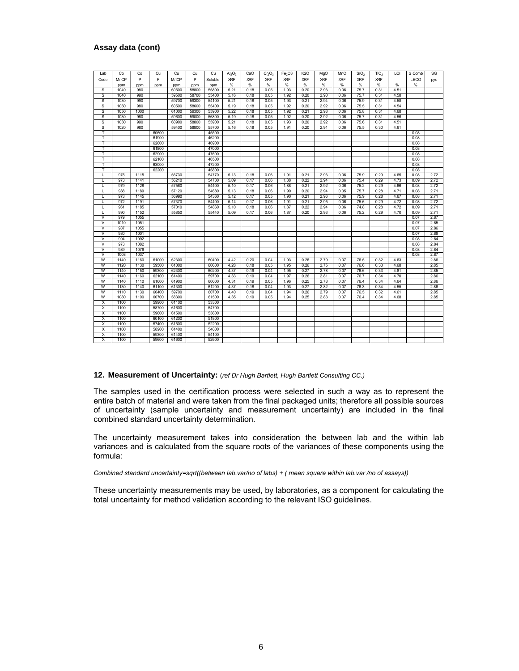#### **Assay data (cont)**

| Lab                     | Co          | Co         | Cu    | Cu             | Cu             | Cu           | $Al_2O_3$  | CaO        | Cr <sub>2</sub> O <sub>3</sub> | Fe <sub>2</sub> O3 | <b>K2O</b>   | MgO        | MnO        | SiO <sub>2</sub> | TiO <sub>2</sub> | LOI  | S Comb | SG   |
|-------------------------|-------------|------------|-------|----------------|----------------|--------------|------------|------------|--------------------------------|--------------------|--------------|------------|------------|------------------|------------------|------|--------|------|
| Code                    | M/ICP       | P          | F     | M/ICP          | P              | Soluble      | <b>XRF</b> | <b>XRF</b> | <b>XRF</b>                     | <b>XRF</b>         | <b>XRF</b>   | <b>XRF</b> | <b>XRF</b> | <b>XRF</b>       | <b>XRF</b>       |      | LECO   |      |
|                         |             |            |       |                |                |              | %          | %          | %                              | $\%$               | %            | %          | %          | %                | $\%$             | %    | %      | pyc  |
| S                       | ppm<br>1040 | ppm<br>980 | ppm   | ppm<br>60500   | ppm<br>58800   | ppm<br>55800 | 5.21       | 0.18       | 0.05                           | 1.93               | 0.20         | 2.93       | 0.06       | 75.7             | 0.31             | 4.51 |        |      |
| s                       | 1040        | 990        |       | 59500          | 58700          | 55400        | 5.16       | 0.18       | 0.05                           | 1.92               | 0.20         | 2.90       | 0.06       | 75.7             | 0.31             | 4.58 |        |      |
| S                       | 1030        | 990        |       | 59700          | 59300          | 54100        | 5.21       | 0.18       | 0.05                           | 1.93               | 0.21         | 2.94       | 0.06       | 75.9             | 0.31             | 4.58 |        |      |
| S                       | 1050        | 980        |       | 60500          | 58600          | 55400        | 5.19       | 0.18       | 0.05                           | 1.92               | 0.20         | 2.92       | 0.06       | 75.5             | 0.31             | 4.54 |        |      |
| S                       | 1050        | 1000       |       |                |                | 55900        |            |            | 0.05                           |                    |              |            |            |                  |                  | 4.68 |        |      |
| $\overline{s}$          | 1030        | 980        |       | 61000<br>59600 | 59300<br>59000 |              | 5.22       | 0.18       |                                | 1.92<br>1.92       | 0.21<br>0.20 | 2.93       | 0.06       | 75.8<br>75.7     | 0.31             |      |        |      |
|                         |             |            |       |                |                | 56800        | 5.19       | 0.18       | 0.05                           |                    |              | 2.92       | 0.06       |                  | 0.31             | 4.56 |        |      |
| S                       | 1030        | 990        |       | 60900          | 58800          | 55900        | 5.21       | 0.18       | 0.05                           | 1.93               | 0.20         | 2.92       | 0.06       | 75.6             | 0.31             | 4.51 |        |      |
| S<br>т                  | 1020        | 980        | 60600 | 59400          | 58800          | 55700        | 5.16       | 0.18       | 0.05                           | 1.91               | 0.20         | 2.91       | 0.06       | 75.5             | 0.30             | 4.61 | 0.08   |      |
|                         |             |            |       |                |                | 45500        |            |            |                                |                    |              |            |            |                  |                  |      | 0.08   |      |
| т                       |             |            | 61900 |                |                | 46200        |            |            |                                |                    |              |            |            |                  |                  |      |        |      |
| T                       |             |            | 62600 |                |                | 46900        |            |            |                                |                    |              |            |            |                  |                  |      | 0.08   |      |
| т                       |             |            | 61800 |                |                | 47000        |            |            |                                |                    |              |            |            |                  |                  |      | 0.08   |      |
| т                       |             |            | 62900 |                |                | 47600        |            |            |                                |                    |              |            |            |                  |                  |      | 0.08   |      |
| T                       |             |            | 62100 |                |                | 46500        |            |            |                                |                    |              |            |            |                  |                  |      | 0.08   |      |
| T                       |             |            | 63000 |                |                | 47200        |            |            |                                |                    |              |            |            |                  |                  |      | 0.08   |      |
| т                       |             |            | 62200 |                |                | 45800        |            |            |                                |                    |              |            |            |                  |                  |      | 0.08   |      |
| U                       | 975         | 1115       |       | 56730          |                | 54770        | 5.13       | 0.18       | 0.06                           | 1.91               | 0.21         | 2.93       | 0.06       | 75.9             | 0.29             | 4.65 | 0.08   | 2.72 |
| Ū                       | 973         | 1141       |       | 56210          |                | 54730        | 5.09       | 0.17       | 0.06                           | 1.88               | 0.22         | 2.94       | 0.06       | 75.4             | 0.29             | 4.73 | 0.09   | 2.72 |
| ⊽                       | 979         | 1128       |       | 57560          |                | 54400        | 5.10       | 0.17       | 0.06                           | 1.88               | 0.21         | 2.92       | 0.06       | 75.2             | 0.29             | 4.66 | 0.08   | 2.72 |
| Ū                       | 988         | 1189       |       | 57120          |                | 54680        | 5.13       | 0.18       | 0.06                           | 1.90               | 0.20         | 2.94       | 0.05       | 75.7             | 0.28             | 4.71 | 0.08   | 2.71 |
| Ū                       | 973         | 1145       |       | 56990          |                | 54360        | 5.12       | 0.17       | 0.05                           | 1.90               | 0.21         | 2.96       | 0.06       | 75.9             | 0.28             | 4.67 | 0.08   | 2.71 |
| Ū                       | 972         | 1191       |       | 57370          |                | 54400        | 5.14       | 0.17       | 0.06                           | 1.91               | 0.21         | 2.95       | 0.06       | 75.6             | 0.29             | 4.72 | 0.08   | 2.72 |
| π                       | 961         | 1185       |       | 57010          |                | 54860        | 5.10       | 0.18       | 0.06                           | 1.87               | 0.22         | 2.94       | 0.06       | 74.8             | 0.28             | 4.72 | 0.09   | 2.71 |
| Ū                       | 990         | 1152       |       | 55850          |                | 55440        | 5.09       | 0.17       | 0.06                           | 1.87               | 0.20         | 2.93       | 0.06       | 75.2             | 0.29             | 4.70 | 0.09   | 2.71 |
| $\overline{\mathsf{v}}$ | 979         | 1055       |       |                |                |              |            |            |                                |                    |              |            |            |                  |                  |      | 0.07   | 2.87 |
| $\overline{\mathsf{v}}$ | 1010        | 1051       |       |                |                |              |            |            |                                |                    |              |            |            |                  |                  |      | 0.07   | 2.85 |
| V                       | 987         | 1055       |       |                |                |              |            |            |                                |                    |              |            |            |                  |                  |      | 0.07   | 2.86 |
| $\overline{\mathsf{v}}$ | 980         | 1001       |       |                |                |              |            |            |                                |                    |              |            |            |                  |                  |      | 0.07   | 2.89 |
| $\overline{\mathsf{v}}$ | 994         | 1092       |       |                |                |              |            |            |                                |                    |              |            |            |                  |                  |      | 0.08   | 2.84 |
| V                       | 973         | 1082       |       |                |                |              |            |            |                                |                    |              |            |            |                  |                  |      | 0.08   | 2.84 |
| V                       | 989         | 1076       |       |                |                |              |            |            |                                |                    |              |            |            |                  |                  |      | 0.08   | 2.84 |
| $\vee$                  | 1008        | 1037       |       |                |                |              |            |            |                                |                    |              |            |            |                  |                  |      | 0.08   | 2.87 |
| W                       | 1140        | 1160       | 61000 | 62300          |                | 60400        | 4.42       | 0.20       | 0.04                           | 1.93               | 0.26         | 2.79       | 0.07       | 76.5             | 0.32             | 4.63 |        | 2.86 |
| W                       | 1120        | 1130       | 59500 | 61000          |                | 60600        | 4.28       | 0.18       | 0.05                           | 1.95               | 0.26         | 2.75       | 0.07       | 76.6             | 0.33             | 4.68 |        | 2.85 |
| W                       | 1140        | 1150       | 59300 | 62300          |                | 60200        | 4.37       | 0.19       | 0.04                           | 1.95               | 0.27         | 2.78       | 0.07       | 76.6             | 0.33             | 4.81 |        | 2.85 |
| W                       | 1140        | 1160       | 62100 | 61400          |                | 59700        | 4.33       | 0.19       | 0.04                           | 1.97               | 0.26         | 2.81       | 0.07       | 76.7             | 0.34             | 4.70 |        | 2.86 |
| W                       | 1140        | 1110       | 61600 | 61900          |                | 60000        | 4.31       | 0.19       | 0.05                           | 1.96               | 0.25         | 2.78       | 0.07       | 76.4             | 0.34             | 4.64 |        | 2.86 |
| W                       | 1130        | 1140       | 61100 | 61300          |                | 61200        | 4.37       | 0.18       | 0.04                           | 1.93               | 0.27         | 2.82       | 0.07       | 76.3             | 0.34             | 4.55 |        | 2.86 |
| W                       | 1110        | 1130       | 60400 | 59700          |                | 60700        | 4.40       | 0.19       | 0.04                           | 1.94               | 0.26         | 2.79       | 0.07       | 76.5             | 0.32             | 4.61 |        | 2.85 |
| W                       | 1080        | 1100       | 60700 | 58300          |                | 61500        | 4.35       | 0.19       | 0.05                           | 1.94               | 0.25         | 2.83       | 0.07       | 76.4             | 0.34             | 4.68 |        | 2.85 |
| Χ                       | 1100        |            | 59900 | 61100          |                | 53300        |            |            |                                |                    |              |            |            |                  |                  |      |        |      |
| X                       | 1100        |            | 58700 | 61600          |                | 54700        |            |            |                                |                    |              |            |            |                  |                  |      |        |      |
| X                       | 1100        |            | 59600 | 61500          |                | 53600        |            |            |                                |                    |              |            |            |                  |                  |      |        |      |
| X                       | 1100        |            | 60100 | 61200          |                | 51800        |            |            |                                |                    |              |            |            |                  |                  |      |        |      |
| X                       | 1100        |            | 57400 | 61500          |                | 52200        |            |            |                                |                    |              |            |            |                  |                  |      |        |      |
| X                       | 1100        |            | 58900 | 61400          |                | 54800        |            |            |                                |                    |              |            |            |                  |                  |      |        |      |
| X                       | 1100        |            | 59300 | 61400          |                | 54100        |            |            |                                |                    |              |            |            |                  |                  |      |        |      |
| Χ                       | 1100        |            | 59600 | 61600          |                | 52600        |            |            |                                |                    |              |            |            |                  |                  |      |        |      |
|                         |             |            |       |                |                |              |            |            |                                |                    |              |            |            |                  |                  |      |        |      |

#### **12. Measurement of Uncertainty:** (*ref Dr Hugh Bartlett, Hugh Bartlett Consulting CC.)*

The samples used in the certification process were selected in such a way as to represent the entire batch of material and were taken from the final packaged units; therefore all possible sources of uncertainty (sample uncertainty and measurement uncertainty) are included in the final combined standard uncertainty determination.

The uncertainty measurement takes into consideration the between lab and the within lab variances and is calculated from the square roots of the variances of these components using the formula:

*Combined standard uncertainty=sqrt((between lab.var/no of labs) + ( mean square within lab.var /no of assays))* 

These uncertainty measurements may be used, by laboratories, as a component for calculating the total uncertainty for method validation according to the relevant ISO guidelines.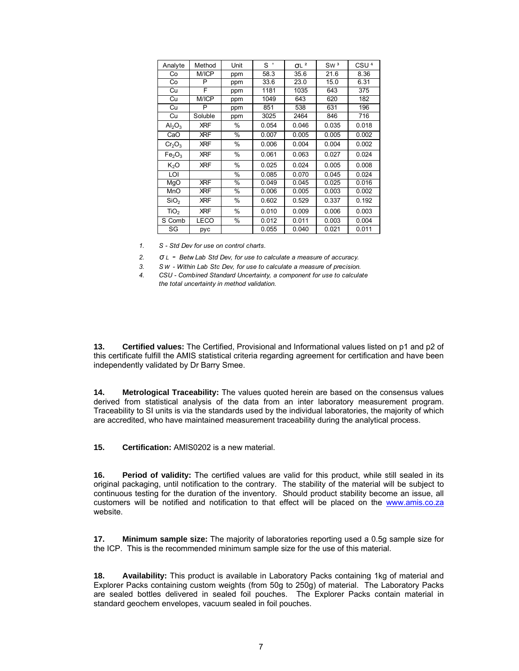| Analyte                        | Method      | Unit | $S^{\prime}$ | $\sigma$ L $^2$ | SW <sup>3</sup> | CSU <sup>4</sup> |
|--------------------------------|-------------|------|--------------|-----------------|-----------------|------------------|
| Co                             | M/ICP       | ppm  | 58.3         | 35.6            | 21.6            | 8.36             |
| Co                             | P           | ppm  | 33.6         | 23.0            | 15.0            | 6.31             |
| Cu                             | F           | ppm  | 1181         | 1035            | 643             | $\overline{375}$ |
| Cu                             | M/ICP       | ppm  | 1049         | 643             | 620             | 182              |
| Cu                             | P           | ppm  | 851          | 538             | 631             | 196              |
| Cu                             | Soluble     | ppm  | 3025         | 2464            | 846             | 716              |
| $Al_2O_3$                      | <b>XRF</b>  | $\%$ | 0.054        | 0.046           | 0.035           | 0.018            |
| CaO                            | <b>XRF</b>  | $\%$ | 0.007        | 0.005           | 0.005           | 0.002            |
| Cr <sub>2</sub> O <sub>3</sub> | <b>XRF</b>  | $\%$ | 0.006        | 0.004           | 0.004           | 0.002            |
| Fe <sub>2</sub> O <sub>3</sub> | <b>XRF</b>  | $\%$ | 0.061        | 0.063           | 0.027           | 0.024            |
| K <sub>2</sub> O               | <b>XRF</b>  | $\%$ | 0.025        | 0.024           | 0.005           | 0.008            |
| <u>LOI</u>                     |             | $\%$ | 0.085        | 0.070           | 0.045           | 0.024            |
| MgO                            | <b>XRF</b>  | $\%$ | 0.049        | 0.045           | 0.025           | 0.016            |
| MnO                            | <b>XRF</b>  | $\%$ | 0.006        | 0.005           | 0.003           | 0.002            |
| SiO <sub>2</sub>               | <b>XRF</b>  | $\%$ | 0.602        | 0.529           | 0.337           | 0.192            |
| TiO <sub>2</sub>               | <b>XRF</b>  | $\%$ | 0.010        | 0.009           | 0.006           | 0.003            |
| S Comb                         | <b>LECO</b> | $\%$ | 0.012        | 0.011           | 0.003           | 0.004            |
| SG                             | pyc         |      | 0.055        | 0.040           | 0.021           | 0.011            |

*1. S - Std Dev for use on control charts.*

*2. σ L - Betw Lab Std Dev, for use to calculate a measure of accuracy.*

*3. S W - Within Lab Stc Dev, for use to calculate a measure of precision.*

*4. CSU - Combined Standard Uncertainty, a component for use to calculate the total uncertainty in method validation.*

**13. Certified values:** The Certified, Provisional and Informational values listed on p1 and p2 of this certificate fulfill the AMIS statistical criteria regarding agreement for certification and have been independently validated by Dr Barry Smee.

**14. Metrological Traceability:** The values quoted herein are based on the consensus values derived from statistical analysis of the data from an inter laboratory measurement program. Traceability to SI units is via the standards used by the individual laboratories, the majority of which are accredited, who have maintained measurement traceability during the analytical process.

**15. Certification:** AMIS0202 is a new material.

**16. Period of validity:** The certified values are valid for this product, while still sealed in its original packaging, until notification to the contrary. The stability of the material will be subject to continuous testing for the duration of the inventory. Should product stability become an issue, all customers will be notified and notification to that effect will be placed on the www.amis.co.za website.

**17. Minimum sample size:** The majority of laboratories reporting used a 0.5g sample size for the ICP. This is the recommended minimum sample size for the use of this material.

**18. Availability:** This product is available in Laboratory Packs containing 1kg of material and Explorer Packs containing custom weights (from 50g to 250g) of material. The Laboratory Packs are sealed bottles delivered in sealed foil pouches. The Explorer Packs contain material in standard geochem envelopes, vacuum sealed in foil pouches.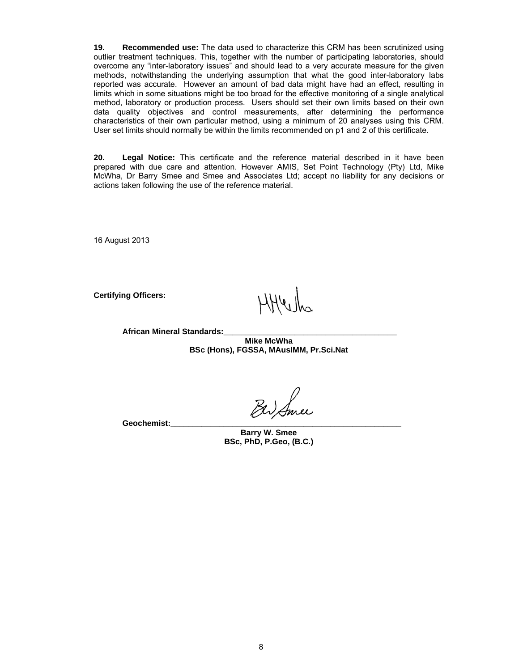**19. Recommended use:** The data used to characterize this CRM has been scrutinized using outlier treatment techniques. This, together with the number of participating laboratories, should overcome any "inter-laboratory issues" and should lead to a very accurate measure for the given methods, notwithstanding the underlying assumption that what the good inter-laboratory labs reported was accurate. However an amount of bad data might have had an effect, resulting in limits which in some situations might be too broad for the effective monitoring of a single analytical method, laboratory or production process. Users should set their own limits based on their own data quality objectives and control measurements, after determining the performance characteristics of their own particular method, using a minimum of 20 analyses using this CRM. User set limits should normally be within the limits recommended on p1 and 2 of this certificate.

**20. Legal Notice:** This certificate and the reference material described in it have been prepared with due care and attention. However AMIS, Set Point Technology (Pty) Ltd, Mike McWha, Dr Barry Smee and Smee and Associates Ltd; accept no liability for any decisions or actions taken following the use of the reference material.

16 August 2013

**Certifying Officers:** 

**African Mineral Standards:\_\_\_\_\_\_\_\_\_\_\_\_\_\_\_\_\_\_\_\_\_\_\_\_\_\_\_\_\_\_\_\_\_\_\_\_\_\_\_** 

**Mike McWha BSc (Hons), FGSSA, MAusIMM, Pr.Sci.Nat** 

Geochemist:

**Barry W. Smee BSc, PhD, P.Geo, (B.C.)**